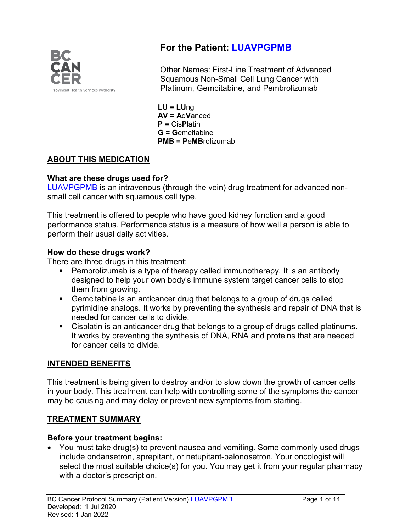

# **For the Patient: LUAVPGPMB**

Other Names: First-Line Treatment of Advanced Squamous Non-Small Cell Lung Cancer with Platinum, Gemcitabine, and Pembrolizumab

**LU = LU**ng **AV = A**d**V**anced **P =** Cis**P**latin **G = G**emcitabine **PMB = P**e**MB**rolizumab

# **ABOUT THIS MEDICATION**

#### **What are these drugs used for?**

LUAVPGPMB is an intravenous (through the vein) drug treatment for advanced nonsmall cell cancer with squamous cell type.

This treatment is offered to people who have good kidney function and a good performance status. Performance status is a measure of how well a person is able to perform their usual daily activities.

#### **How do these drugs work?**

There are three drugs in this treatment:

- Pembrolizumab is a type of therapy called immunotherapy. It is an antibody designed to help your own body's immune system target cancer cells to stop them from growing.
- Gemcitabine is an anticancer drug that belongs to a group of drugs called pyrimidine analogs. It works by preventing the synthesis and repair of DNA that is needed for cancer cells to divide.
- Cisplatin is an anticancer drug that belongs to a group of drugs called platinums. It works by preventing the synthesis of DNA, RNA and proteins that are needed for cancer cells to divide.

### **INTENDED BENEFITS**

This treatment is being given to destroy and/or to slow down the growth of cancer cells in your body. This treatment can help with controlling some of the symptoms the cancer may be causing and may delay or prevent new symptoms from starting.

### **TREATMENT SUMMARY**

### **Before your treatment begins:**

• You must take drug(s) to prevent nausea and vomiting. Some commonly used drugs include ondansetron, aprepitant, or netupitant-palonosetron. Your oncologist will select the most suitable choice(s) for you. You may get it from your regular pharmacy with a doctor's prescription.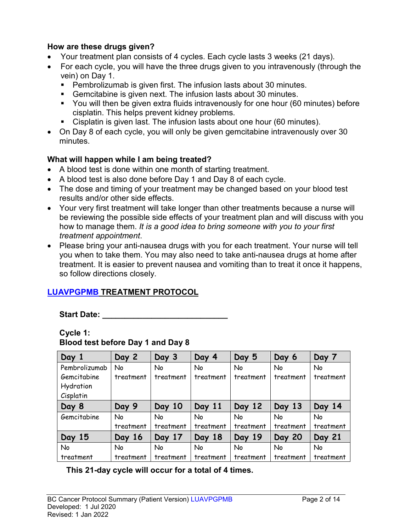#### **How are these drugs given?**

- Your treatment plan consists of 4 cycles. Each cycle lasts 3 weeks (21 days).
- For each cycle, you will have the three drugs given to you intravenously (through the vein) on Day 1.
	- Pembrolizumab is given first. The infusion lasts about 30 minutes.
	- Gemcitabine is given next. The infusion lasts about 30 minutes.
	- You will then be given extra fluids intravenously for one hour (60 minutes) before cisplatin. This helps prevent kidney problems.
	- Cisplatin is given last. The infusion lasts about one hour (60 minutes).
- On Day 8 of each cycle, you will only be given gemcitabine intravenously over 30 minutes.

### **What will happen while I am being treated?**

- A blood test is done within one month of starting treatment.
- A blood test is also done before Day 1 and Day 8 of each cycle.
- The dose and timing of your treatment may be changed based on your blood test results and/or other side effects.
- Your very first treatment will take longer than other treatments because a nurse will be reviewing the possible side effects of your treatment plan and will discuss with you how to manage them. *It is a good idea to bring someone with you to your first treatment appointment*.
- Please bring your anti-nausea drugs with you for each treatment. Your nurse will tell you when to take them. You may also need to take anti-nausea drugs at home after treatment. It is easier to prevent nausea and vomiting than to treat it once it happens, so follow directions closely.

### **LUAVPGPMB TREATMENT PROTOCOL**

Start Date: <u>\_\_\_\_\_\_\_\_\_</u>

**Cycle 1:**

| Day 1         | Day 2     | Day 3     | Day 4     | Day 5     | Day 6         | Day 7         |
|---------------|-----------|-----------|-----------|-----------|---------------|---------------|
| Pembrolizumab | <b>No</b> | <b>No</b> | No        | <b>No</b> | No            | <b>No</b>     |
| Gemcitabine   | treatment | treatment | treatment | treatment | treatment     | treatment     |
| Hydration     |           |           |           |           |               |               |
| Cisplatin     |           |           |           |           |               |               |
| Day 8         | Day 9     | Day 10    | Day 11    | Day 12    | Day 13        | Day 14        |
| Gemcitabine   | No        | No        | No        | No        | No            | No            |
|               | treatment | treatment | treatment | treatment | treatment     | treatment     |
| Day 15        | Day 16    | Day 17    | Day 18    | Day 19    | <b>Day 20</b> | <b>Day 21</b> |
| <b>No</b>     | No        | No        | No        | No        | No            | No            |
| treatment     | treatment | treatment | treatment | treatment | treatment     | treatment     |

**Blood test before Day 1 and Day 8**

**This 21-day cycle will occur for a total of 4 times.**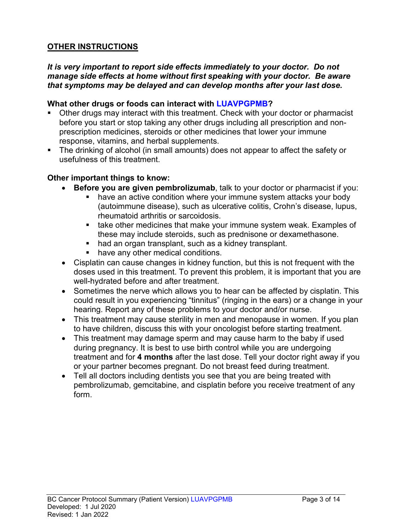### **OTHER INSTRUCTIONS**

#### *It is very important to report side effects immediately to your doctor. Do not manage side effects at home without first speaking with your doctor. Be aware that symptoms may be delayed and can develop months after your last dose.*

#### **What other drugs or foods can interact with LUAVPGPMB?**

- Other drugs may interact with this treatment. Check with your doctor or pharmacist before you start or stop taking any other drugs including all prescription and nonprescription medicines, steroids or other medicines that lower your immune response, vitamins, and herbal supplements.
- The drinking of alcohol (in small amounts) does not appear to affect the safety or usefulness of this treatment.

#### **Other important things to know:**

- **Before you are given pembrolizumab**, talk to your doctor or pharmacist if you:
	- have an active condition where your immune system attacks your body (autoimmune disease), such as ulcerative colitis, Crohn's disease, lupus, rheumatoid arthritis or sarcoidosis.
	- **take other medicines that make your immune system weak. Examples of** these may include steroids, such as prednisone or dexamethasone.
	- had an organ transplant, such as a kidney transplant.
	- have any other medical conditions.
- Cisplatin can cause changes in kidney function, but this is not frequent with the doses used in this treatment. To prevent this problem, it is important that you are well-hydrated before and after treatment.
- Sometimes the nerve which allows you to hear can be affected by cisplatin. This could result in you experiencing "tinnitus" (ringing in the ears) or a change in your hearing. Report any of these problems to your doctor and/or nurse.
- This treatment may cause sterility in men and menopause in women. If you plan to have children, discuss this with your oncologist before starting treatment.
- This treatment may damage sperm and may cause harm to the baby if used during pregnancy. It is best to use birth control while you are undergoing treatment and for **4 months** after the last dose. Tell your doctor right away if you or your partner becomes pregnant. Do not breast feed during treatment.
- Tell all doctors including dentists you see that you are being treated with pembrolizumab, gemcitabine, and cisplatin before you receive treatment of any form.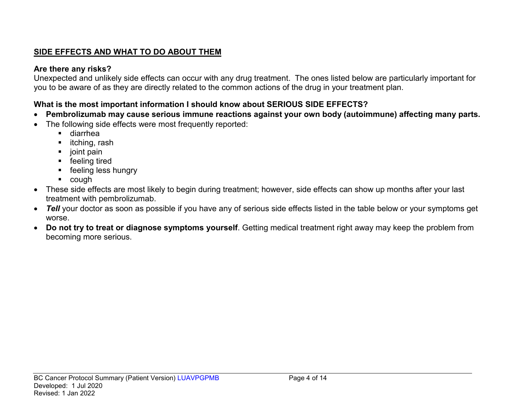# **SIDE EFFECTS AND WHAT TO DO ABOUT THEM**

### **Are there any risks?**

Unexpected and unlikely side effects can occur with any drug treatment. The ones listed below are particularly important for you to be aware of as they are directly related to the common actions of the drug in your treatment plan.

# **What is the most important information I should know about SERIOUS SIDE EFFECTS?**

- **Pembrolizumab may cause serious immune reactions against your own body (autoimmune) affecting many parts.**
- The following side effects were most frequently reported:
	- diarrhea
	- $\blacksquare$  itching, rash
	- $\blacksquare$  joint pain
	- **F** feeling tired
	- **F** feeling less hungry
	- cough
- These side effects are most likely to begin during treatment; however, side effects can show up months after your last treatment with pembrolizumab.
- *Tell* your doctor as soon as possible if you have any of serious side effects listed in the table below or your symptoms get worse.
- **Do not try to treat or diagnose symptoms yourself**. Getting medical treatment right away may keep the problem from becoming more serious.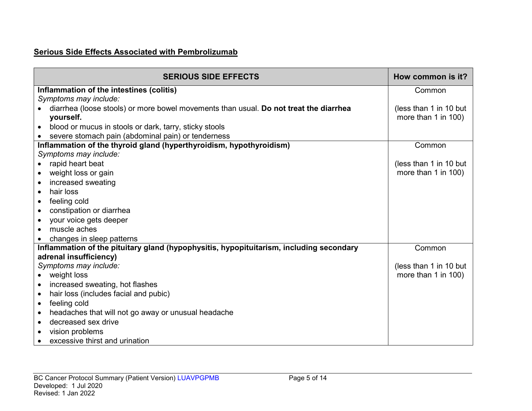# **Serious Side Effects Associated with Pembrolizumab**

| <b>SERIOUS SIDE EFFECTS</b>                                                             | How common is it?      |
|-----------------------------------------------------------------------------------------|------------------------|
| Inflammation of the intestines (colitis)                                                | Common                 |
| Symptoms may include:                                                                   |                        |
| diarrhea (loose stools) or more bowel movements than usual. Do not treat the diarrhea   | (less than 1 in 10 but |
| yourself.                                                                               | more than 1 in 100)    |
| blood or mucus in stools or dark, tarry, sticky stools                                  |                        |
| severe stomach pain (abdominal pain) or tenderness                                      |                        |
| Inflammation of the thyroid gland (hyperthyroidism, hypothyroidism)                     | Common                 |
| Symptoms may include:                                                                   |                        |
| rapid heart beat                                                                        | (less than 1 in 10 but |
| weight loss or gain<br>$\bullet$                                                        | more than 1 in 100)    |
| increased sweating<br>$\bullet$                                                         |                        |
| hair loss<br>$\bullet$                                                                  |                        |
| feeling cold<br>$\bullet$                                                               |                        |
| constipation or diarrhea                                                                |                        |
| your voice gets deeper<br>$\bullet$                                                     |                        |
| muscle aches                                                                            |                        |
| changes in sleep patterns                                                               |                        |
| Inflammation of the pituitary gland (hypophysitis, hypopituitarism, including secondary | Common                 |
| adrenal insufficiency)                                                                  |                        |
| Symptoms may include:                                                                   | (less than 1 in 10 but |
| weight loss                                                                             | more than 1 in 100)    |
| increased sweating, hot flashes<br>$\bullet$                                            |                        |
| hair loss (includes facial and pubic)<br>$\bullet$                                      |                        |
| feeling cold<br>$\bullet$                                                               |                        |
| headaches that will not go away or unusual headache<br>$\bullet$                        |                        |
| decreased sex drive<br>$\bullet$                                                        |                        |
| vision problems                                                                         |                        |
| excessive thirst and urination                                                          |                        |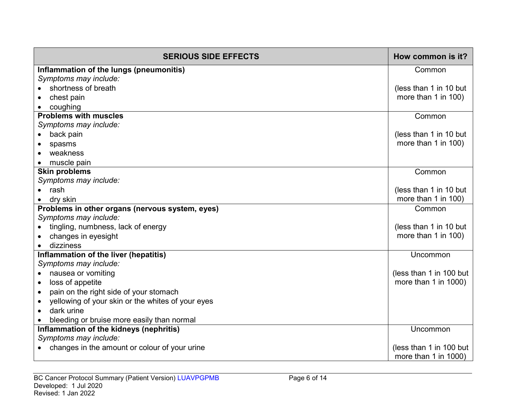| <b>SERIOUS SIDE EFFECTS</b>                         | How common is it?         |
|-----------------------------------------------------|---------------------------|
| Inflammation of the lungs (pneumonitis)             | Common                    |
| Symptoms may include:                               |                           |
| shortness of breath                                 | (less than 1 in 10 but    |
| chest pain                                          | more than 1 in 100)       |
| coughing                                            |                           |
| <b>Problems with muscles</b>                        | Common                    |
| Symptoms may include:                               |                           |
| back pain                                           | (less than 1 in 10 but    |
| spasms                                              | more than 1 in 100)       |
| weakness                                            |                           |
| muscle pain                                         |                           |
| <b>Skin problems</b>                                | Common                    |
| Symptoms may include:                               |                           |
| $\bullet$ rash                                      | (less than 1 in 10 but    |
| dry skin                                            | more than 1 in 100)       |
| Problems in other organs (nervous system, eyes)     | Common                    |
| Symptoms may include:                               |                           |
| tingling, numbness, lack of energy                  | (less than 1 in 10 but    |
| changes in eyesight                                 | more than 1 in 100)       |
| dizziness                                           |                           |
| Inflammation of the liver (hepatitis)               | Uncommon                  |
| Symptoms may include:                               |                           |
| nausea or vomiting<br>$\bullet$                     | (less than 1 in 100 but   |
| loss of appetite<br>$\bullet$                       | more than 1 in 1000)      |
| pain on the right side of your stomach<br>$\bullet$ |                           |
| yellowing of your skin or the whites of your eyes   |                           |
| dark urine<br>$\bullet$                             |                           |
| bleeding or bruise more easily than normal          |                           |
| Inflammation of the kidneys (nephritis)             | Uncommon                  |
| Symptoms may include:                               |                           |
| changes in the amount or colour of your urine       | (less than 1 in 100 but   |
|                                                     | more than $1$ in $1000$ ) |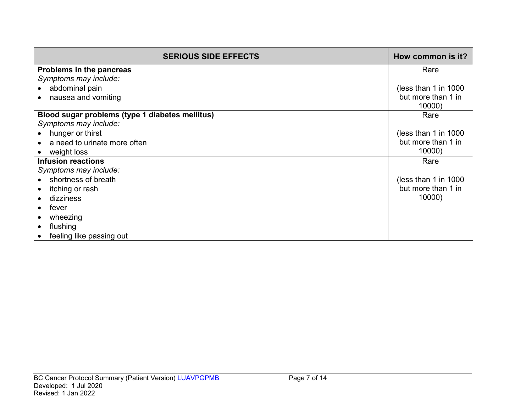| <b>SERIOUS SIDE EFFECTS</b>                     | How common is it?    |
|-------------------------------------------------|----------------------|
| Problems in the pancreas                        | Rare                 |
| Symptoms may include:                           |                      |
| abdominal pain                                  | (less than 1 in 1000 |
| nausea and vomiting                             | but more than 1 in   |
|                                                 | 10000)               |
| Blood sugar problems (type 1 diabetes mellitus) | Rare                 |
| Symptoms may include:                           |                      |
| hunger or thirst                                | (less than 1 in 1000 |
| a need to urinate more often                    | but more than 1 in   |
| weight loss                                     | 10000)               |
| <b>Infusion reactions</b>                       | Rare                 |
| Symptoms may include:                           |                      |
| shortness of breath                             | (less than 1 in 1000 |
| itching or rash                                 | but more than 1 in   |
| dizziness                                       | 10000)               |
| fever                                           |                      |
| wheezing                                        |                      |
| flushing                                        |                      |
| feeling like passing out                        |                      |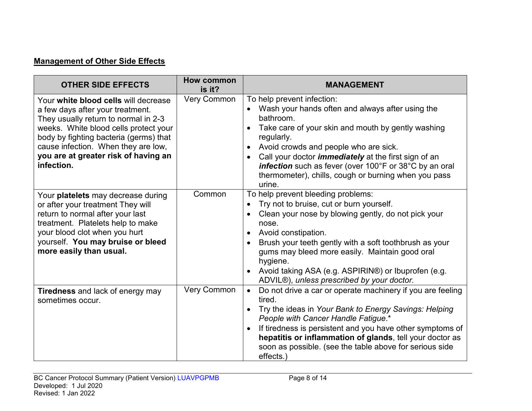# **Management of Other Side Effects**

| <b>OTHER SIDE EFFECTS</b>                                                                                                                                                                                                                                                                        | <b>How common</b><br>is it? | <b>MANAGEMENT</b>                                                                                                                                                                                                                                                                                                                                                                                                |
|--------------------------------------------------------------------------------------------------------------------------------------------------------------------------------------------------------------------------------------------------------------------------------------------------|-----------------------------|------------------------------------------------------------------------------------------------------------------------------------------------------------------------------------------------------------------------------------------------------------------------------------------------------------------------------------------------------------------------------------------------------------------|
| Your white blood cells will decrease<br>a few days after your treatment.<br>They usually return to normal in 2-3<br>weeks. White blood cells protect your<br>body by fighting bacteria (germs) that<br>cause infection. When they are low,<br>you are at greater risk of having an<br>infection. | <b>Very Common</b>          | To help prevent infection:<br>Wash your hands often and always after using the<br>bathroom.<br>Take care of your skin and mouth by gently washing<br>regularly.<br>Avoid crowds and people who are sick.<br>Call your doctor <i>immediately</i> at the first sign of an<br>$\bullet$<br>infection such as fever (over 100°F or 38°C by an oral<br>thermometer), chills, cough or burning when you pass<br>urine. |
| Your platelets may decrease during<br>or after your treatment They will<br>return to normal after your last<br>treatment. Platelets help to make<br>your blood clot when you hurt<br>yourself. You may bruise or bleed<br>more easily than usual.                                                | Common                      | To help prevent bleeding problems:<br>Try not to bruise, cut or burn yourself.<br>Clean your nose by blowing gently, do not pick your<br>nose.<br>Avoid constipation.<br>Brush your teeth gently with a soft toothbrush as your<br>gums may bleed more easily. Maintain good oral<br>hygiene.<br>Avoid taking ASA (e.g. ASPIRIN®) or Ibuprofen (e.g.<br>ADVIL®), unless prescribed by your doctor.               |
| <b>Tiredness</b> and lack of energy may<br>sometimes occur.                                                                                                                                                                                                                                      | <b>Very Common</b>          | Do not drive a car or operate machinery if you are feeling<br>$\bullet$<br>tired.<br>Try the ideas in Your Bank to Energy Savings: Helping<br>People with Cancer Handle Fatigue.*<br>If tiredness is persistent and you have other symptoms of<br>hepatitis or inflammation of glands, tell your doctor as<br>soon as possible. (see the table above for serious side<br>effects.)                               |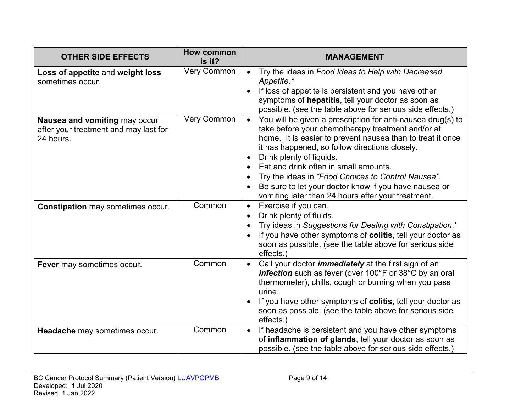| <b>OTHER SIDE EFFECTS</b>                                                           | <b>How common</b><br>is it? | <b>MANAGEMENT</b>                                                                                                                                                                                                                                                                                                                                                                                                                                                                       |
|-------------------------------------------------------------------------------------|-----------------------------|-----------------------------------------------------------------------------------------------------------------------------------------------------------------------------------------------------------------------------------------------------------------------------------------------------------------------------------------------------------------------------------------------------------------------------------------------------------------------------------------|
| Loss of appetite and weight loss<br>sometimes occur.                                | Very Common                 | Try the ideas in Food Ideas to Help with Decreased<br>Appetite.*<br>If loss of appetite is persistent and you have other<br>symptoms of hepatitis, tell your doctor as soon as<br>possible. (see the table above for serious side effects.)                                                                                                                                                                                                                                             |
| Nausea and vomiting may occur<br>after your treatment and may last for<br>24 hours. | <b>Very Common</b>          | You will be given a prescription for anti-nausea drug(s) to<br>$\bullet$<br>take before your chemotherapy treatment and/or at<br>home. It is easier to prevent nausea than to treat it once<br>it has happened, so follow directions closely.<br>Drink plenty of liquids.<br>Eat and drink often in small amounts.<br>Try the ideas in "Food Choices to Control Nausea".<br>Be sure to let your doctor know if you have nausea or<br>vomiting later than 24 hours after your treatment. |
| <b>Constipation may sometimes occur.</b>                                            | Common                      | Exercise if you can.<br>$\bullet$<br>Drink plenty of fluids.<br>Try ideas in Suggestions for Dealing with Constipation.*<br>If you have other symptoms of colitis, tell your doctor as<br>soon as possible. (see the table above for serious side<br>effects.)                                                                                                                                                                                                                          |
| Fever may sometimes occur.                                                          | Common                      | Call your doctor <i>immediately</i> at the first sign of an<br>$\bullet$<br>infection such as fever (over 100°F or 38°C by an oral<br>thermometer), chills, cough or burning when you pass<br>urine.<br>If you have other symptoms of colitis, tell your doctor as<br>soon as possible. (see the table above for serious side<br>effects.)                                                                                                                                              |
| Headache may sometimes occur.                                                       | Common                      | If headache is persistent and you have other symptoms<br>$\bullet$<br>of inflammation of glands, tell your doctor as soon as<br>possible. (see the table above for serious side effects.)                                                                                                                                                                                                                                                                                               |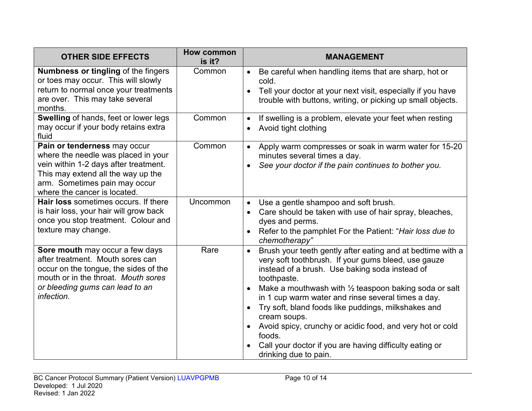| <b>OTHER SIDE EFFECTS</b>                                                                                                                                                                                           | How common<br>is it? | <b>MANAGEMENT</b>                                                                                                                                                                                                                                                                                                                                                                                                                                                                                                                                           |
|---------------------------------------------------------------------------------------------------------------------------------------------------------------------------------------------------------------------|----------------------|-------------------------------------------------------------------------------------------------------------------------------------------------------------------------------------------------------------------------------------------------------------------------------------------------------------------------------------------------------------------------------------------------------------------------------------------------------------------------------------------------------------------------------------------------------------|
| Numbness or tingling of the fingers<br>or toes may occur. This will slowly<br>return to normal once your treatments<br>are over. This may take several<br>months.                                                   | Common               | Be careful when handling items that are sharp, hot or<br>$\bullet$<br>cold.<br>Tell your doctor at your next visit, especially if you have<br>trouble with buttons, writing, or picking up small objects.                                                                                                                                                                                                                                                                                                                                                   |
| Swelling of hands, feet or lower legs<br>may occur if your body retains extra<br>fluid                                                                                                                              | Common               | If swelling is a problem, elevate your feet when resting<br>$\bullet$<br>Avoid tight clothing<br>$\bullet$                                                                                                                                                                                                                                                                                                                                                                                                                                                  |
| Pain or tenderness may occur<br>where the needle was placed in your<br>vein within 1-2 days after treatment.<br>This may extend all the way up the<br>arm. Sometimes pain may occur<br>where the cancer is located. | Common               | Apply warm compresses or soak in warm water for 15-20<br>$\bullet$<br>minutes several times a day.<br>See your doctor if the pain continues to bother you.                                                                                                                                                                                                                                                                                                                                                                                                  |
| <b>Hair loss</b> sometimes occurs. If there<br>is hair loss, your hair will grow back<br>once you stop treatment. Colour and<br>texture may change.                                                                 | Uncommon             | Use a gentle shampoo and soft brush.<br>Care should be taken with use of hair spray, bleaches,<br>$\bullet$<br>dyes and perms.<br>Refer to the pamphlet For the Patient: "Hair loss due to<br>chemotherapy"                                                                                                                                                                                                                                                                                                                                                 |
| Sore mouth may occur a few days<br>after treatment. Mouth sores can<br>occur on the tongue, the sides of the<br>mouth or in the throat. Mouth sores<br>or bleeding gums can lead to an<br>infection.                | Rare                 | Brush your teeth gently after eating and at bedtime with a<br>very soft toothbrush. If your gums bleed, use gauze<br>instead of a brush. Use baking soda instead of<br>toothpaste.<br>Make a mouthwash with $\frac{1}{2}$ teaspoon baking soda or salt<br>in 1 cup warm water and rinse several times a day.<br>Try soft, bland foods like puddings, milkshakes and<br>$\bullet$<br>cream soups.<br>Avoid spicy, crunchy or acidic food, and very hot or cold<br>foods.<br>Call your doctor if you are having difficulty eating or<br>drinking due to pain. |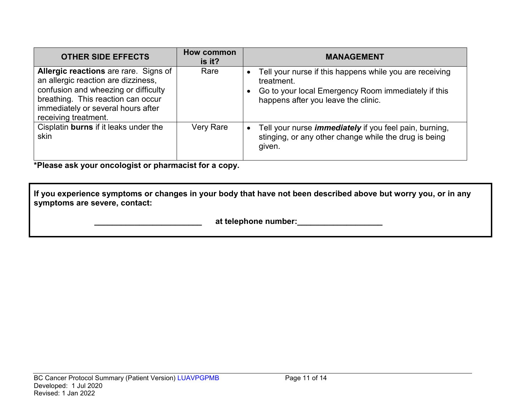| <b>OTHER SIDE EFFECTS</b>                                                                                                                                                                                                       | How common<br>is it? | <b>MANAGEMENT</b>                                                                                                                                                   |
|---------------------------------------------------------------------------------------------------------------------------------------------------------------------------------------------------------------------------------|----------------------|---------------------------------------------------------------------------------------------------------------------------------------------------------------------|
| <b>Allergic reactions</b> are rare. Signs of<br>an allergic reaction are dizziness,<br>confusion and wheezing or difficulty<br>breathing. This reaction can occur<br>immediately or several hours after<br>receiving treatment. | Rare                 | Tell your nurse if this happens while you are receiving<br>treatment.<br>Go to your local Emergency Room immediately if this<br>happens after you leave the clinic. |
| Cisplatin burns if it leaks under the<br>skin                                                                                                                                                                                   | <b>Very Rare</b>     | Tell your nurse <i>immediately</i> if you feel pain, burning,<br>stinging, or any other change while the drug is being<br>given.                                    |

**\*Please ask your oncologist or pharmacist for a copy.**

**If you experience symptoms or changes in your body that have not been described above but worry you, or in any symptoms are severe, contact:**

 **\_\_\_\_\_\_\_\_\_\_\_\_\_\_\_\_\_\_\_\_\_\_\_\_ at telephone number:\_\_\_\_\_\_\_\_\_\_\_\_\_\_\_\_\_\_\_**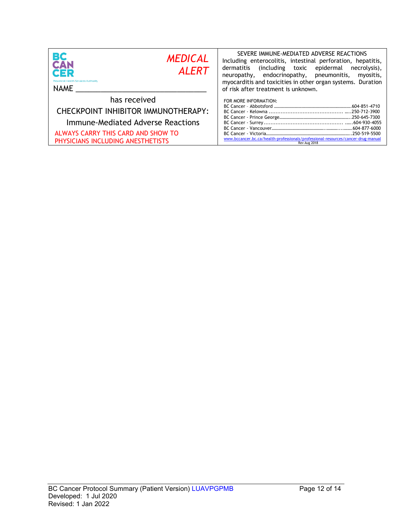| BС<br><b>MEDICAL</b><br>CAN<br><b>ALERT</b><br>CER<br><b>Provincial Health Services Authority</b><br><b>NAME</b>                                                    | SEVERE IMMUNE-MEDIATED ADVERSE REACTIONS<br>Including enterocolitis, intestinal perforation, hepatitis,<br>including toxic epidermal)<br>dermatitis<br>necrolysis),<br>neuropathy, endocrinopathy, pneumonitis,<br>myositis,<br>myocarditis and toxicities in other organ systems. Duration<br>of risk after treatment is unknown. |
|---------------------------------------------------------------------------------------------------------------------------------------------------------------------|------------------------------------------------------------------------------------------------------------------------------------------------------------------------------------------------------------------------------------------------------------------------------------------------------------------------------------|
| has received<br>CHECKPOINT INHIBITOR IMMUNOTHERAPY:<br>Immune-Mediated Adverse Reactions<br>ALWAYS CARRY THIS CARD AND SHOW TO<br>PHYSICIANS INCLUDING ANESTHETISTS | FOR MORE INFORMATION:<br>www.bccancer.bc.ca/health-professionals/professional-resources/cancer-drug-manual<br>Rev Aug 2018                                                                                                                                                                                                         |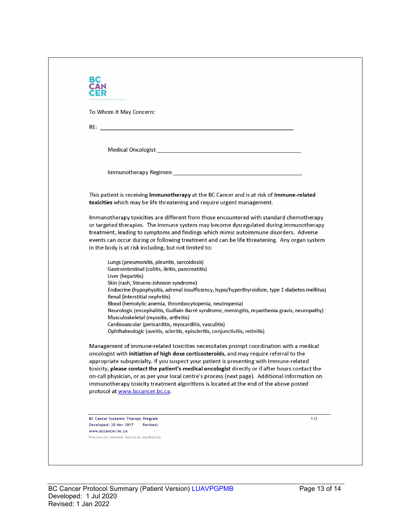| To Whom It May Concern:                                                  |                                                                                                                                                                                                                                                                                |
|--------------------------------------------------------------------------|--------------------------------------------------------------------------------------------------------------------------------------------------------------------------------------------------------------------------------------------------------------------------------|
|                                                                          |                                                                                                                                                                                                                                                                                |
|                                                                          |                                                                                                                                                                                                                                                                                |
|                                                                          | Medical Oncologist New York and Service Contract of the Contract of the Contract of the Contract of the Contract of the Contract of the Contract of the Contract of the Contract of the Contract of the Contract of the Contra                                                 |
|                                                                          |                                                                                                                                                                                                                                                                                |
|                                                                          |                                                                                                                                                                                                                                                                                |
|                                                                          | This patient is receiving immunotherapy at the BC Cancer and is at risk of immune-related<br>toxicities which may be life threatening and require urgent management.                                                                                                           |
|                                                                          | Immunotherapy toxicities are different from those encountered with standard chemotherapy                                                                                                                                                                                       |
|                                                                          | or targeted therapies. The immune system may become dysregulated during immunotherapy                                                                                                                                                                                          |
|                                                                          | treatment, leading to symptoms and findings which mimic autoimmune disorders. Adverse<br>events can occur during or following treatment and can be life threatening. Any organ system                                                                                          |
| in the body is at risk including, but not limited to:                    |                                                                                                                                                                                                                                                                                |
| Lungs (pneumonitis, pleuritis, sarcoidosis)                              |                                                                                                                                                                                                                                                                                |
| Gastrointestinal (colitis, ileitis, pancreatitis)                        |                                                                                                                                                                                                                                                                                |
| Liver (hepatitis)<br>Skin (rash, Stevens-Johnson syndrome)               |                                                                                                                                                                                                                                                                                |
|                                                                          | Endocrine (hypophysitis, adrenal insufficiency, hypo/hyperthyroidism, type 1 diabetes mellitus)                                                                                                                                                                                |
| Renal (interstitial nephritis)                                           |                                                                                                                                                                                                                                                                                |
|                                                                          | Blood (hemolytic anemia, thrombocytopenia, neutropenia)<br>Neurologic (encephalitis, Guillain-Barré syndrome, meningitis, myasthenia gravis, neuropathy)                                                                                                                       |
| Musculoskeletal (myositis, arthritis)                                    |                                                                                                                                                                                                                                                                                |
| Cardiovascular (pericarditis, myocarditis, vasculitis)                   | Ophthalmologic (uveitis, scleritis, episcleritis, conjunctivitis, retinitis)                                                                                                                                                                                                   |
|                                                                          | Management of immune-related toxicities necessitates prompt coordination with a medical<br>oncologist with initiation of high dose corticosteroids, and may require referral to the<br>appropriate subspecialty. If you suspect your patient is presenting with immune-related |
|                                                                          | toxicity, please contact the patient's medical oncologist directly or if after hours contact the                                                                                                                                                                               |
|                                                                          | on-call physician, or as per your local centre's process (next page). Additional information on<br>immunotherapy toxicity treatment algorithms is located at the end of the above posted                                                                                       |
| protocol at www.bccancer.bc.ca.                                          |                                                                                                                                                                                                                                                                                |
|                                                                          |                                                                                                                                                                                                                                                                                |
|                                                                          | 1/2                                                                                                                                                                                                                                                                            |
| BC Cancer Systemic Therapy Program<br>Developed: 28 Nov 2017<br>Revised: |                                                                                                                                                                                                                                                                                |